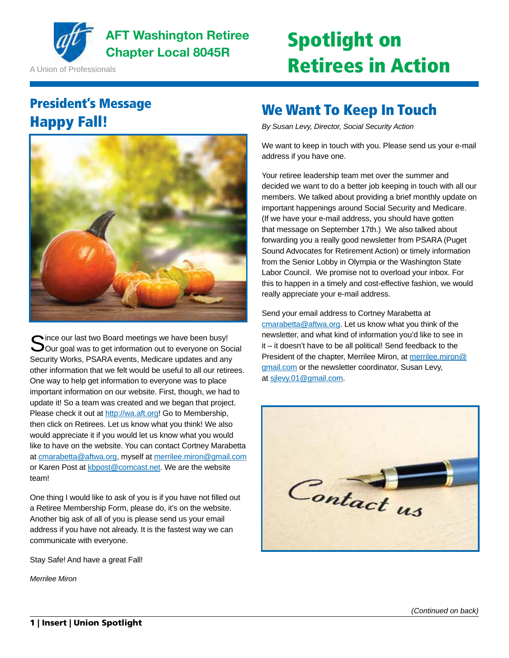

**AFT Washington Retiree** AFT Washington Retiree **Spotlight on** 

A Union of Professionals

## Retirees in Action

## President's Message Happy Fall!



Since our last two Board meetings we have been busy!<br>Our goal was to get information out to everyone on Social Security Works, PSARA events, Medicare updates and any other information that we felt would be useful to all our retirees. One way to help get information to everyone was to place important information on our website. First, though, we had to update it! So a team was created and we began that project. Please check it out at http://wa.aft.org! Go to Membership, then click on Retirees. Let us know what you think! We also would appreciate it if you would let us know what you would like to have on the website. You can contact Cortney Marabetta at cmarabetta@aftwa.org, myself at merrilee.miron@gmail.com or Karen Post at kbpost@comcast.net. We are the website team!

One thing I would like to ask of you is if you have not filled out a Retiree Membership Form, please do, it's on the website. Another big ask of all of you is please send us your email address if you have not already. It is the fastest way we can communicate with everyone.

Stay Safe! And have a great Fall!

*Merrilee Miron*

## We Want To Keep In Touch

*By Susan Levy, Director, Social Security Action*

We want to keep in touch with you. Please send us your e-mail address if you have one.

Your retiree leadership team met over the summer and decided we want to do a better job keeping in touch with all our members. We talked about providing a brief monthly update on important happenings around Social Security and Medicare. (If we have your e-mail address, you should have gotten that message on September 17th.) We also talked about forwarding you a really good newsletter from PSARA (Puget Sound Advocates for Retirement Action) or timely information from the Senior Lobby in Olympia or the Washington State Labor Council. We promise not to overload your inbox. For this to happen in a timely and cost-effective fashion, we would really appreciate your e-mail address.

Send your email address to Cortney Marabetta at cmarabetta@aftwa.org. Let us know what you think of the newsletter, and what kind of information you'd like to see in it – it doesn't have to be all political! Send feedback to the President of the chapter, Merrilee Miron, at merrilee.miron@ gmail.com or the newsletter coordinator, Susan Levy, at sjlevy.01@gmail.com.